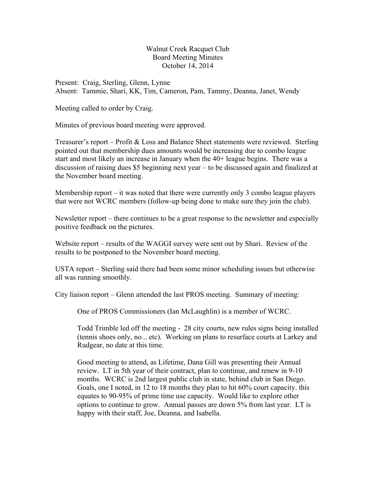Walnut Creek Racquet Club Board Meeting Minutes October 14, 2014

Present: Craig, Sterling, Glenn, Lynne Absent: Tammie, Shari, KK, Tim, Cameron, Pam, Tammy, Deanna, Janet, Wendy

Meeting called to order by Craig.

Minutes of previous board meeting were approved.

Treasurer's report – Profit & Loss and Balance Sheet statements were reviewed. Sterling pointed out that membership dues amounts would be increasing due to combo league start and most likely an increase in January when the 40+ league begins. There was a discussion of raising dues \$5 beginning next year – to be discussed again and finalized at the November board meeting.

Membership report – it was noted that there were currently only 3 combo league players that were not WCRC members (follow-up being done to make sure they join the club).

Newsletter report – there continues to be a great response to the newsletter and especially positive feedback on the pictures.

Website report – results of the WAGGI survey were sent out by Shari. Review of the results to be postponed to the November board meeting.

USTA report – Sterling said there had been some minor scheduling issues but otherwise all was running smoothly.

City liaison report – Glenn attended the last PROS meeting. Summary of meeting:

One of PROS Commissioners (Ian McLaughlin) is a member of WCRC.

Todd Trimble led off the meeting - 28 city courts, new rules signs being installed (tennis shoes only, no... etc). Working on plans to resurface courts at Larkey and Rudgear, no date at this time.

Good meeting to attend, as Lifetime, Dana Gill was presenting their Annual review. LT in 5th year of their contract, plan to continue, and renew in 9-10 months. WCRC is 2nd largest public club in state, behind club in San Diego. Goals, one I noted, in 12 to 18 months they plan to hit 60% court capacity. this equates to 90-95% of prime time use capacity. Would like to explore other options to continue to grow. Annual passes are down 5% from last year. LT is happy with their staff, Joe, Deanna, and Isabella.